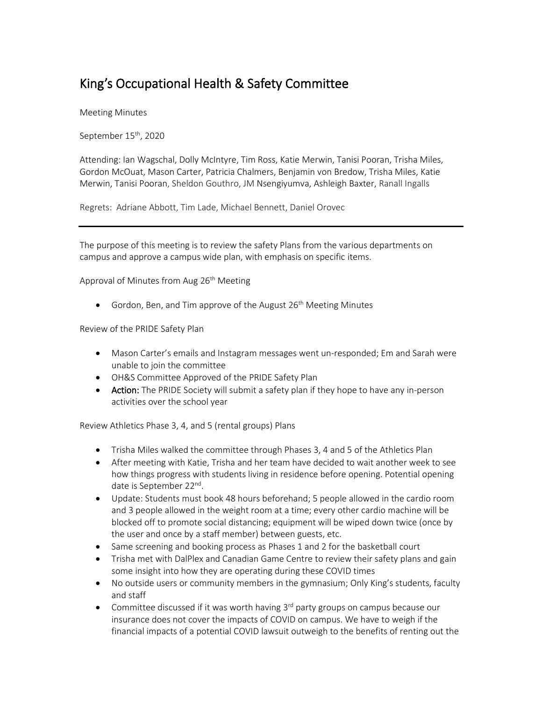## King's Occupational Health & Safety Committee

Meeting Minutes

September 15<sup>th</sup>, 2020

Attending: Ian Wagschal, Dolly McIntyre, Tim Ross, Katie Merwin, Tanisi Pooran, Trisha Miles, Gordon McOuat, Mason Carter, Patricia Chalmers, Benjamin von Bredow, Trisha Miles, Katie Merwin, Tanisi Pooran, Sheldon Gouthro, JM Nsengiyumva, Ashleigh Baxter, Ranall Ingalls

Regrets: Adriane Abbott, Tim Lade, Michael Bennett, Daniel Orovec

The purpose of this meeting is to review the safety Plans from the various departments on campus and approve a campus wide plan, with emphasis on specific items.

Approval of Minutes from Aug  $26<sup>th</sup>$  Meeting

• Gordon, Ben, and Tim approve of the August  $26<sup>th</sup>$  Meeting Minutes

Review of the PRIDE Safety Plan

- Mason Carter's emails and Instagram messages went un-responded; Em and Sarah were unable to join the committee
- OH&S Committee Approved of the PRIDE Safety Plan
- Action: The PRIDE Society will submit a safety plan if they hope to have any in-person activities over the school year

Review Athletics Phase 3, 4, and 5 (rental groups) Plans

- Trisha Miles walked the committee through Phases 3, 4 and 5 of the Athletics Plan
- After meeting with Katie, Trisha and her team have decided to wait another week to see how things progress with students living in residence before opening. Potential opening date is September 22<sup>nd</sup>.
- Update: Students must book 48 hours beforehand; 5 people allowed in the cardio room and 3 people allowed in the weight room at a time; every other cardio machine will be blocked off to promote social distancing; equipment will be wiped down twice (once by the user and once by a staff member) between guests, etc.
- Same screening and booking process as Phases 1 and 2 for the basketball court
- Trisha met with DalPlex and Canadian Game Centre to review their safety plans and gain some insight into how they are operating during these COVID times
- No outside users or community members in the gymnasium; Only King's students, faculty and staff
- Committee discussed if it was worth having 3<sup>rd</sup> party groups on campus because our insurance does not cover the impacts of COVID on campus. We have to weigh if the financial impacts of a potential COVID lawsuit outweigh to the benefits of renting out the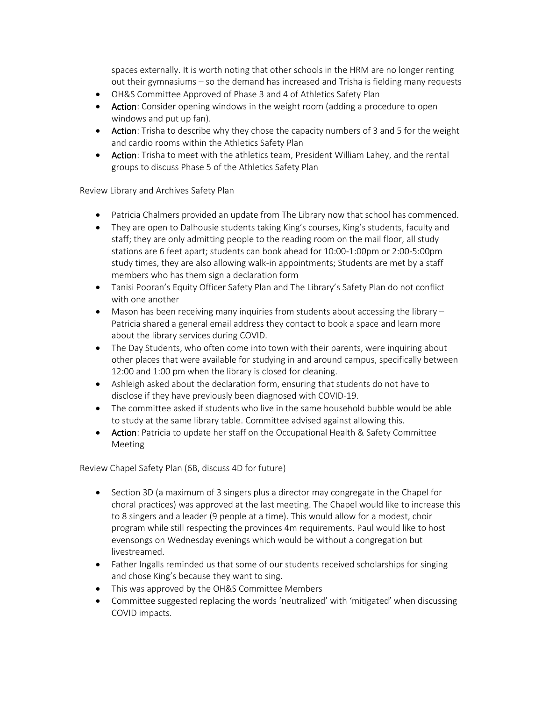spaces externally. It is worth noting that other schools in the HRM are no longer renting out their gymnasiums – so the demand has increased and Trisha is fielding many requests

- OH&S Committee Approved of Phase 3 and 4 of Athletics Safety Plan
- Action: Consider opening windows in the weight room (adding a procedure to open windows and put up fan).
- Action: Trisha to describe why they chose the capacity numbers of 3 and 5 for the weight and cardio rooms within the Athletics Safety Plan
- Action: Trisha to meet with the athletics team, President William Lahey, and the rental groups to discuss Phase 5 of the Athletics Safety Plan

Review Library and Archives Safety Plan

- Patricia Chalmers provided an update from The Library now that school has commenced.
- They are open to Dalhousie students taking King's courses, King's students, faculty and staff; they are only admitting people to the reading room on the mail floor, all study stations are 6 feet apart; students can book ahead for 10:00-1:00pm or 2:00-5:00pm study times, they are also allowing walk-in appointments; Students are met by a staff members who has them sign a declaration form
- Tanisi Pooran's Equity Officer Safety Plan and The Library's Safety Plan do not conflict with one another
- Mason has been receiving many inquiries from students about accessing the library Patricia shared a general email address they contact to book a space and learn more about the library services during COVID.
- The Day Students, who often come into town with their parents, were inquiring about other places that were available for studying in and around campus, specifically between 12:00 and 1:00 pm when the library is closed for cleaning.
- Ashleigh asked about the declaration form, ensuring that students do not have to disclose if they have previously been diagnosed with COVID-19.
- The committee asked if students who live in the same household bubble would be able to study at the same library table. Committee advised against allowing this.
- Action: Patricia to update her staff on the Occupational Health & Safety Committee Meeting

Review Chapel Safety Plan (6B, discuss 4D for future)

- Section 3D (a maximum of 3 singers plus a director may congregate in the Chapel for choral practices) was approved at the last meeting. The Chapel would like to increase this to 8 singers and a leader (9 people at a time). This would allow for a modest, choir program while still respecting the provinces 4m requirements. Paul would like to host evensongs on Wednesday evenings which would be without a congregation but livestreamed.
- Father Ingalls reminded us that some of our students received scholarships for singing and chose King's because they want to sing.
- This was approved by the OH&S Committee Members
- Committee suggested replacing the words 'neutralized' with 'mitigated' when discussing COVID impacts.